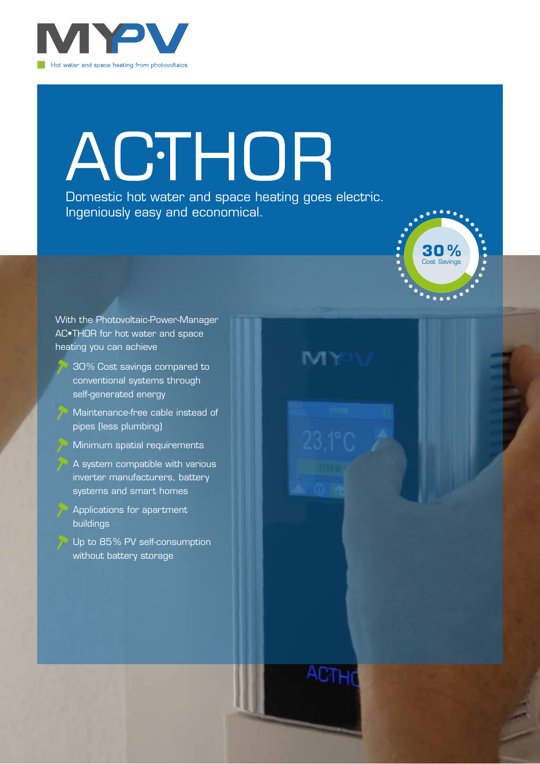

# ACTHOR

Domestic hot water and space heating goes electric. Ingeniously easy and economical.



With the Photovoltaic-Power-Manager AC•THOR for hot water and space heating you can achieve

- 30% Cost savings compared to conventional systems through self-generated energy
- Maintenance-free cable instead of pipes (less plumbing)
- Minimum spatial requirements
- A system compatible with various inverter manufacturers, battery systems and smart homes
- Applications for apartment buildings

Up to 85% PV self-consumption without battery storage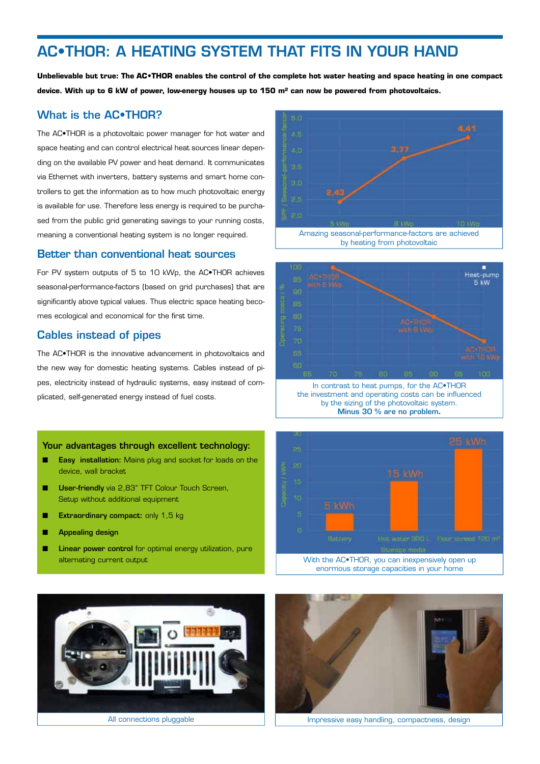## AC•THOR: A HEATING SYSTEM THAT FITS IN YOUR HAND

**Unbelievable but true: The AC•THOR enables the control of the complete hot water heating and space heating in one compact device. With up to 6 kW of power, low-energy houses up to 150 m² can now be powered from photovoltaics.**

#### What is the AC•THOR?

The AC•THOR is a photovoltaic power manager for hot water and space heating and can control electrical heat sources linear depending on the available PV power and heat demand. It communicates via Ethernet with inverters, battery systems and smart home controllers to get the information as to how much photovoltaic energy is available for use. Therefore less energy is required to be purchased from the public grid generating savings to your running costs, meaning a conventional heating system is no longer required.

#### Better than conventional heat sources

For PV system outputs of 5 to 10 kWp, the AC•THOR achieves seasonal-performance-factors (based on grid purchases) that are signifcantly above typical values. Thus electric space heating becomes ecological and economical for the first time.

### Cables instead of pipes

The AC•THOR is the innovative advancement in photovoltaics and the new way for domestic heating systems. Cables instead of pipes, electricity instead of hydraulic systems, easy instead of complicated, self-generated energy instead of fuel costs.

#### Your advantages through excellent technology:

- Easy installation: Mains plug and socket for loads on the device, wall bracket
- User-friendly via 2,83" TFT Colour Touch Screen, Setup without additional equipment
- Extraordinary compact: only 1,5 kg
- Appealing design
- Linear power control for optimal energy utilization, pure alternating current output









With the AC•THOR, you can inexpensively open up enormous storage capacities in your home

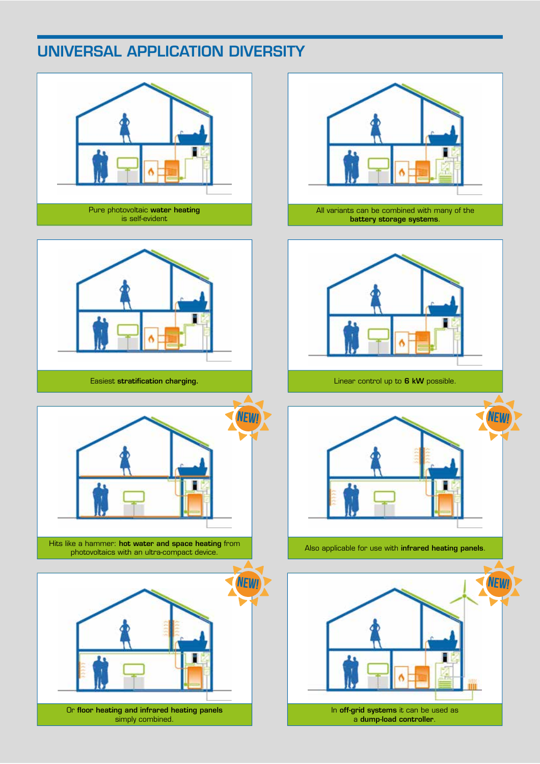# UNIVERSAL APPLICATION DIVERSITY







Hits like a hammer: **hot water and space heating** from **Also applicable for use with infrared heating panels.** Also applicable for use with **infrared heating panels**. photovoltaics with an ultra-compact device.



Or floor heating and infrared heating panels simply combined.



battery storage systems.



Linear control up to 6 kW possible.